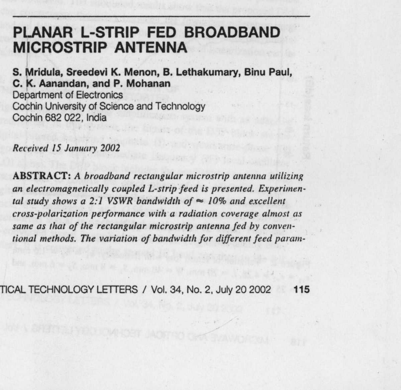# **PLANAR L-STRIP FED BROADBAND MICROSTRIP ANTENNA**

**S. Mridula**, **Sreedevi K. Menon, B. Lethakumary**, **Binu Paul, C. K. Aanandan**, **and P**. **Mohanan** Department of Electronics Cochin University of Science and Technology Cochin 682 022, India

Received 15 January 2002

ABSTRACT: A broadband rectangular microstrip antenna utilizing an electromagnetically coupled L-strip feed is presented. Experimental study shows a 2:1 VSWR bandwidth of  $\approx$  10% and excellent cross-polarization performance with a radiation coverage almost as same as that of the rectangular microstrip antenna fed by conventional methods. The variation of bandwidth for different feed param-

TICAL TECHNOLOGY LETTERS / Vol. 34, No. 2, July 20 **2002 115**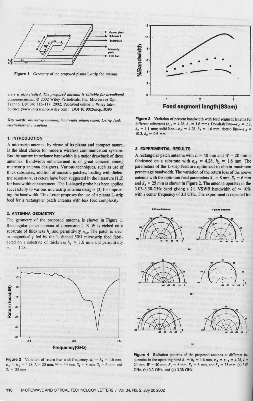

**Figure** 1 Geometry of the proposed **planar** L-strip **fed antenna**

*ete rs is also studied. The proposed antenna is suitable for broadband communications.* © 2002 Wiley Periodicals, Inc. Microwave Opt Technol Lett 34: 115-117, 2002; Published **online in** Wiley Inter-Science (www.interscience.wiley.com). DOI 10.1002/mop.10390

**Key words**: *microstrip antenna; bandwidth enhancement; L-strip feed; electromagnetic coupling*

## **1. INTRODUCTION**

A microstrip antenna, by virtue of **its planar and compact nature,** is the ideal choice for modern wireless communication **systems.** But the narrow impedance bandwidth **is a major** drawback **of these antennas.** Bandwidth enhancement **is of great concern among** microstrip antenna designers. Various techniques, such as use of thick substrates, addition of parasitic patches, loading with dielec-Iric resonators, et cetera have **been** suggested **in the literature [ 1,2]** for bandwidth enhancement. The L-shaped probe has been applied successfully to various microstrip **antenna designs** [3] for improving the bandwidth. This Letter proposes the use of a planar L-strip feed for a rectangular patch antenna with less feed complexity.

## **2. ANTENNA GEOMETRY**

The geometry of the proposed antenna is shown **in Figure I.** Rectangular patch antenna of dimension  $L \times W$  is etched on a substrate of thickness  $h_2$  and permittivity  $\varepsilon_{r2}$ . The patch is electromagnetically fed by the L-shaped  $50\Omega$  microstrip feed fabricated on a substrate of thickness  $h_1 = 1.6$  mm and permittivity  $\varepsilon_{r1} = 4.28.$ 



**Figure 2** Variation of return loss with frequency.  $h_1 = h_2 = 1.6$  nm,  $\varepsilon_{r,1} = \varepsilon_{r,2} = 4.28$ ,  $L = 20$  mm,  $W = 40$  mm,  $S_1 = 8$  mm,  $S_2 = 6$  mm, and  $S_3 = 25$  mm



**Figure 3** Variation of percent bandwidth with feed segment lengths for different substrates  $(e_{r1} = 4.28, h_1 = 1.6$  mm). Dot-dash line- $e_{r2} = 2.2$ ,  $h_2 = 1.1$  mm; solid line- $\varepsilon_{r2} = 4.28$ ,  $h_2 = 1.6$  mm; dotted line- $\varepsilon_{r2} =$ 10.2,  $h_2=0.6$  mm

## **3. EXPERIMENTAL RESULTS**

A rectangular patch antenna with  $L = 40$  mm and  $W = 20$  mm is fabricated on a substrate with  $\varepsilon_{r2}$  = 4.28,  $h_2$  = 1.6 mm. The parameters of the L-strip *feed* are optimized to obtain **maximum percentage** bandwidth. The variation **of the return** loss of the above antenna with the optimum feed parameters  $S_1 = 8$  mm,  $S_2 = 6$  mm and  $S_3 = 25$  mm is shown in Figure 2. The antenna operates in the 3.03-3.38-GHz band giving a 2:1 VSWR bandwidth of  $\sim 10\%$ with a center frequency of 3.3 GHz. The experiment is repeated for



**Figure 4** Radiation patterns of the proposed **antenna at** different frequencies in the operating band  $h_1 = h_2 = 1.6$  mm,  $\varepsilon_{r1} = \varepsilon_{r2} = 4.28$ ,  $L =$ 20 mm,  $W = 40$  mm,  $S_1 = 8$  mm,  $S_2 = 6$  mm, and  $S_3 = 25$  mm. (a) 3.03 GHz, (b) 3.3 GHz, and (c) 3.38 GHz